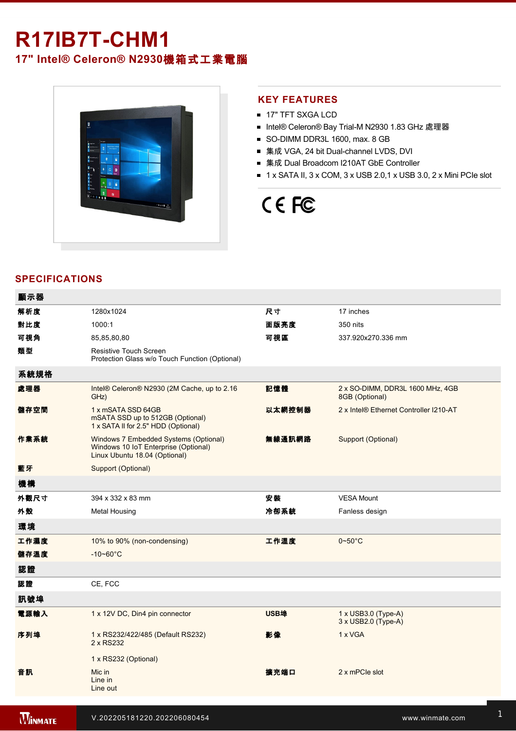## **R17IB7T-CHM1**

**17" Intel® Celeron® N2930**機箱式工業電腦



## **KEY FEATURES**

- **17" TFT SXGA LCD**
- Intel® Celeron® Bay Trial-M N2930 1.83 GHz 處理器
- SO-DIMM DDR3L 1600, max. 8 GB
- 集成 VGA, 24 bit Dual-channel LVDS, DVI
- 集成 Dual Broadcom I210AT GbE Controller
- $\blacksquare$  1 x SATA II, 3 x COM, 3 x USB 2.0,1 x USB 3.0, 2 x Mini PCIe slot

# CE FC

### **SPECIFICATIONS**

| 顯示器  |                                                                                                                |        |                                                    |
|------|----------------------------------------------------------------------------------------------------------------|--------|----------------------------------------------------|
| 解析度  | 1280x1024                                                                                                      | 尺寸     | 17 inches                                          |
| 對比度  | 1000:1                                                                                                         | 面版亮度   | 350 nits                                           |
| 可視角  | 85,85,80,80                                                                                                    | 可視區    | 337.920x270.336 mm                                 |
| 類型   | Resistive Touch Screen<br>Protection Glass w/o Touch Function (Optional)                                       |        |                                                    |
| 系統規格 |                                                                                                                |        |                                                    |
| 處理器  | Intel® Celeron® N2930 (2M Cache, up to 2.16<br>GHz)                                                            | 記憶體    | 2 x SO-DIMM, DDR3L 1600 MHz, 4GB<br>8GB (Optional) |
| 儲存空間 | 1 x mSATA SSD 64GB<br>mSATA SSD up to 512GB (Optional)<br>1 x SATA II for 2.5" HDD (Optional)                  | 以太網控制器 | 2 x Intel® Ethernet Controller I210-AT             |
| 作業系統 | Windows 7 Embedded Systems (Optional)<br>Windows 10 IoT Enterprise (Optional)<br>Linux Ubuntu 18.04 (Optional) | 無線通訊網路 | Support (Optional)                                 |
| 藍牙   | Support (Optional)                                                                                             |        |                                                    |
| 機構   |                                                                                                                |        |                                                    |
| 外觀尺寸 | 394 x 332 x 83 mm                                                                                              | 安装     | <b>VESA Mount</b>                                  |
| 外殼   | <b>Metal Housing</b>                                                                                           | 冷卻系統   | Fanless design                                     |
| 環境   |                                                                                                                |        |                                                    |
| 工作濕度 | 10% to 90% (non-condensing)                                                                                    | 工作溫度   | $0 - 50$ °C                                        |
| 儲存溫度 | $-10 - 60^{\circ}C$                                                                                            |        |                                                    |
| 認證   |                                                                                                                |        |                                                    |
| 認證   | CE, FCC                                                                                                        |        |                                                    |
| 訊號埠  |                                                                                                                |        |                                                    |
| 電源輸入 | 1 x 12V DC, Din4 pin connector                                                                                 | USB埠   | $1 \times$ USB3.0 (Type-A)<br>3 x USB2.0 (Type-A)  |
| 序列埠  | 1 x RS232/422/485 (Default RS232)<br>2 x RS232                                                                 | 影像     | 1 x VGA                                            |
|      | 1 x RS232 (Optional)                                                                                           |        |                                                    |
| 音訊   | Mic in<br>Line in<br>Line out                                                                                  | 擴充端口   | 2 x mPCle slot                                     |
|      |                                                                                                                |        |                                                    |